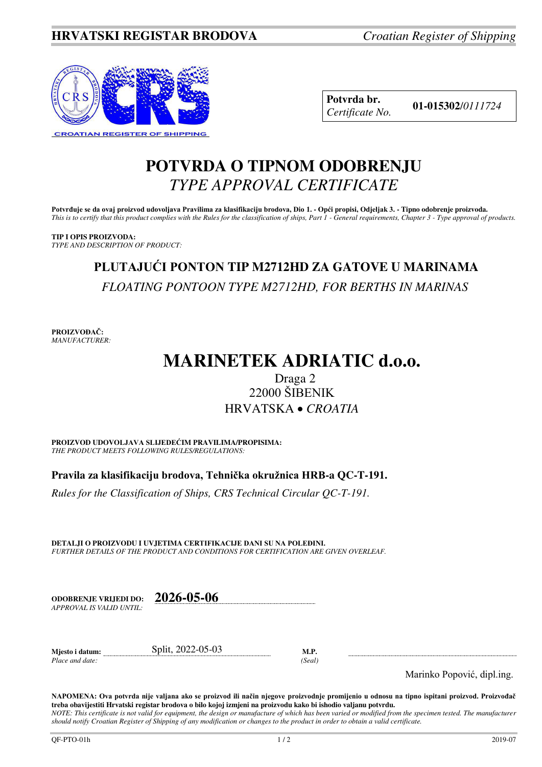

**Potvrda br. 01-015302**/*<sup>0111724</sup> Certificate No.* 

### **POTVRDA O TIPNOM ODOBRENJU**  *TYPE APPROVAL CERTIFICATE*

**Potvrđuje se da ovaj proizvod udovoljava Pravilima za klasifikaciju brodova, Dio 1. - Opći propisi, Odjeljak 3. - Tipno odobrenje proizvoda.**  *This is to certify that this product complies with the Rules for the classification of ships, Part 1 - General requirements, Chapter 3 - Type approval of products.* 

**TIP I OPIS PROIZVODA:** *TYPE AND DESCRIPTION OF PRODUCT:* 

# **PLUTAJUĆI PONTON TIP M2712HD ZA GATOVE U MARINAMA**  *FLOATING PONTOON TYPE M2712HD, FOR BERTHS IN MARINAS*

**PROIZVOĐAČ:** *MANUFACTURER:*

# **MARINETEK ADRIATIC d.o.o.**

### Draga 2 22000 ŠIBENIK HRVATSKA *CROATIA*

**PROIZVOD UDOVOLJAVA SLIJEDEĆIM PRAVILIMA/PROPISIMA:** *THE PRODUCT MEETS FOLLOWING RULES/REGULATIONS:* 

**Pravila za klasifikaciju brodova, Tehnička okružnica HRB-a QC-T-191.** 

*Rules for the Classification of Ships, CRS Technical Circular QC-T-191.*

**DETALJI O PROIZVODU I UVJETIMA CERTIFIKACIJE DANI SU NA POLEĐINI.** *FURTHER DETAILS OF THE PRODUCT AND CONDITIONS FOR CERTIFICATION ARE GIVEN OVERLEAF.* 

**ODOBRENJE VRIJEDI DO: 2026-05-06** *APPROVAL IS VALID UNTIL:*

**Mjesto i datum:** Split, 2022-05-03 **M.P.**  *Place and date: (Seal)* 

Marinko Popović, dipl.ing.

**NAPOMENA: Ova potvrda nije valjana ako se proizvod ili način njegove proizvodnje promijenio u odnosu na tipno ispitani proizvod. Proizvođač treba obavijestiti Hrvatski registar brodova o bilo kojoj izmjeni na proizvodu kako bi ishodio valjanu potvrdu.**  *NOTE: This certificate is not valid for equipment, the design or manufacture of which has been varied or modified from the specimen tested. The manufacturer* 

*should notify Croatian Register of Shipping of any modification or changes to the product in order to obtain a valid certificate.*